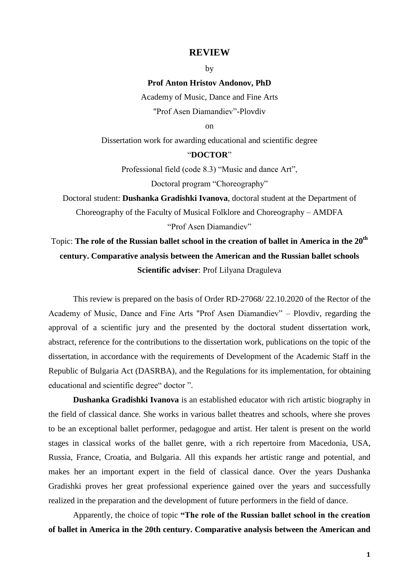## **REVIEW**

by

## **Prof Anton Hristov Andonov, PhD**

Academy of Music, Dance and Fine Arts "Prof Asen Diamandiev"-Plovdiv

on

Dissertation work for awarding educational and scientific degree

## "**DOCTOR**"

Professional field (code 8.3) "Music and dance Art", Doctoral program "Choreography"

Doctoral student: **Dushanka Gradishki Ivanova**, doctoral student at the Department of Choreography of the Faculty of Musical Folklore and Choreography – AMDFA "Prof Asen Diamandiev"

## Topic: **The role of the Russian ballet school in the creation of ballet in America in the 20th century. Comparative analysis between the American and the Russian ballet schools Scientific adviser**: Prof Lilyana Draguleva

This review is prepared on the basis of Order RD-27068/ 22.10.2020 of the Rector of the Academy of Music, Dance and Fine Arts "Prof Asen Diamandiev" – Plovdiv, regarding the approval of a scientific jury and the presented by the doctoral student dissertation work, abstract, reference for the contributions to the dissertation work, publications on the topic of the dissertation, in accordance with the requirements of Development of the Academic Staff in the Republic of Bulgaria Act (DASRBA), and the Regulations for its implementation, for obtaining educational and scientific degree" doctor ".

**Dushanka Gradishki Ivanova** is an established educator with rich artistic biography in the field of classical dance. She works in various ballet theatres and schools, where she proves to be an exceptional ballet performer, pedagogue and artist. Her talent is present on the world stages in classical works of the ballet genre, with a rich repertoire from Macedonia, USA, Russia, France, Croatia, and Bulgaria. All this expands her artistic range and potential, and makes her an important expert in the field of classical dance. Over the years Dushanka Gradishki proves her great professional experience gained over the years and successfully realized in the preparation and the development of future performers in the field of dance.

Apparently, the choice of topic **"The role of the Russian ballet school in the creation of ballet in America in the 20th century. Comparative analysis between the American and**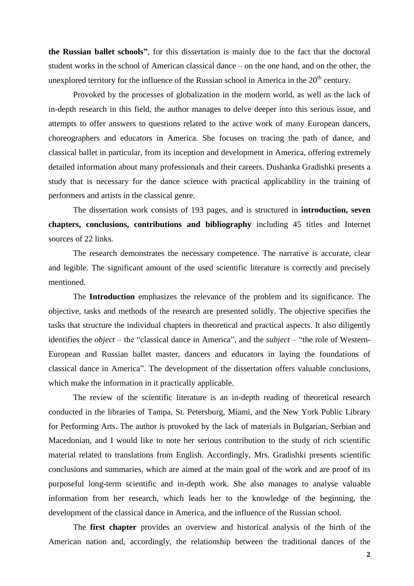**the Russian ballet schools"**, for this dissertation is mainly due to the fact that the doctoral student works in the school of American classical dance – on the one hand, and on the other, the unexplored territory for the influence of the Russian school in America in the  $20<sup>th</sup>$  century.

Provoked by the processes of globalization in the modern world, as well as the lack of in-depth research in this field, the author manages to delve deeper into this serious issue, and attempts to offer answers to questions related to the active work of many European dancers, choreographers and educators in America. She focuses on tracing the path of dance, and classical ballet in particular, from its inception and development in America, offering extremely detailed information about many professionals and their careers. Dushanka Gradishki presents a study that is necessary for the dance science with practical applicability in the training of performers and artists in the classical genre.

The dissertation work consists of 193 pages, and is structured in **introduction, seven chapters, conclusions, contributions and bibliography** including 45 titles and Internet sources of 22 links.

The research demonstrates the necessary competence. The narrative is accurate, clear and legible. The significant amount of the used scientific literature is correctly and precisely mentioned.

The **Introduction** emphasizes the relevance of the problem and its significance. The objective, tasks and methods of the research are presented solidly. The objective specifies the tasks that structure the individual chapters in theoretical and practical aspects. It also diligently identifies the *object* – the "classical dance in America", and the *subject* – "the role of Western-European and Russian ballet master, dancers and educators in laying the foundations of classical dance in America". The development of the dissertation offers valuable conclusions, which make the information in it practically applicable.

The review of the scientific literature is an in-depth reading of theoretical research conducted in the libraries of Tampa, St. Petersburg, Miami, and the New York Public Library for Performing Arts. The author is provoked by the lack of materials in Bulgarian, Serbian and Macedonian, and I would like to note her serious contribution to the study of rich scientific material related to translations from English. Accordingly, Mrs. Gradishki presents scientific conclusions and summaries, which are aimed at the main goal of the work and are proof of its purposeful long-term scientific and in-depth work. She also manages to analyse valuable information from her research, which leads her to the knowledge of the beginning, the development of the classical dance in America, and the influence of the Russian school.

The **first chapter** provides an overview and historical analysis of the birth of the American nation and, accordingly, the relationship between the traditional dances of the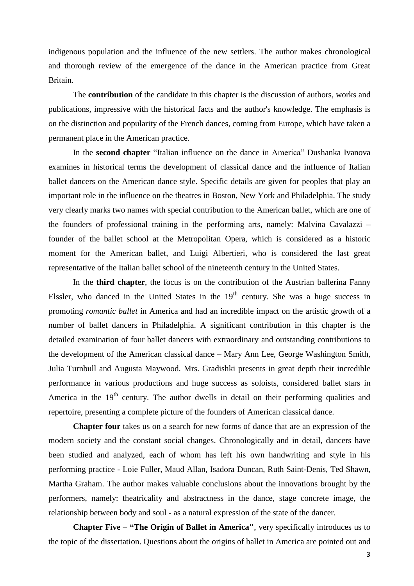indigenous population and the influence of the new settlers. The author makes chronological and thorough review of the emergence of the dance in the American practice from Great Britain.

The **contribution** of the candidate in this chapter is the discussion of authors, works and publications, impressive with the historical facts and the author's knowledge. The emphasis is on the distinction and popularity of the French dances, coming from Europe, which have taken a permanent place in the American practice.

In the **second chapter** "Italian influence on the dance in America" Dushanka Ivanova examines in historical terms the development of classical dance and the influence of Italian ballet dancers on the American dance style. Specific details are given for peoples that play an important role in the influence on the theatres in Boston, New York and Philadelphia. The study very clearly marks two names with special contribution to the American ballet, which are one of the founders of professional training in the performing arts, namely: Malvina Cavalazzi – founder of the ballet school at the Metropolitan Opera, which is considered as a historic moment for the American ballet, and Luigi Albertieri, who is considered the last great representative of the Italian ballet school of the nineteenth century in the United States.

In the **third chapter**, the focus is on the contribution of the Austrian ballerina Fanny Elssler, who danced in the United States in the  $19<sup>th</sup>$  century. She was a huge success in promoting *romantic ballet* in America and had an incredible impact on the artistic growth of a number of ballet dancers in Philadelphia. A significant contribution in this chapter is the detailed examination of four ballet dancers with extraordinary and outstanding contributions to the development of the American classical dance – Mary Ann Lee, George Washington Smith, Julia Turnbull and Augusta Maywood. Mrs. Gradishki presents in great depth their incredible performance in various productions and huge success as soloists, considered ballet stars in America in the  $19<sup>th</sup>$  century. The author dwells in detail on their performing qualities and repertoire, presenting a complete picture of the founders of American classical dance.

**Chapter four** takes us on a search for new forms of dance that are an expression of the modern society and the constant social changes. Chronologically and in detail, dancers have been studied and analyzed, each of whom has left his own handwriting and style in his performing practice - Loie Fuller, Maud Allan, Isadora Duncan, Ruth Saint-Denis, Ted Shawn, Martha Graham. The author makes valuable conclusions about the innovations brought by the performers, namely: theatricality and abstractness in the dance, stage concrete image, the relationship between body and soul - as a natural expression of the state of the dancer.

**Chapter Five – "The Origin of Ballet in America"**, very specifically introduces us to the topic of the dissertation. Questions about the origins of ballet in America are pointed out and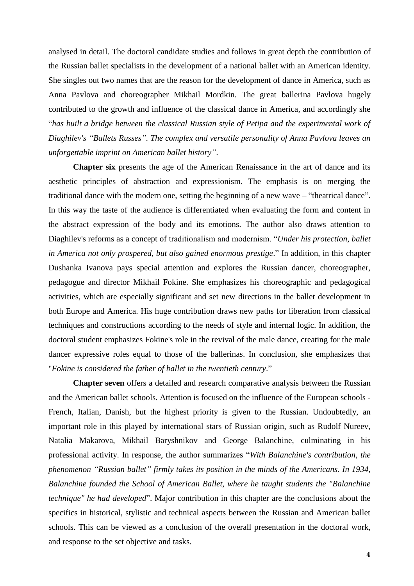analysed in detail. The doctoral candidate studies and follows in great depth the contribution of the Russian ballet specialists in the development of a national ballet with an American identity. She singles out two names that are the reason for the development of dance in America, such as Anna Pavlova and choreographer Mikhail Mordkin. The great ballerina Pavlova hugely contributed to the growth and influence of the classical dance in America, and accordingly she "*has built a bridge between the classical Russian style of Petipa and the experimental work of Diaghilev's "Ballets Russes". The complex and versatile personality of Anna Pavlova leaves an unforgettable imprint on American ballet history"*.

**Chapter six** presents the age of the American Renaissance in the art of dance and its aesthetic principles of abstraction and expressionism. The emphasis is on merging the traditional dance with the modern one, setting the beginning of a new wave – "theatrical dance". In this way the taste of the audience is differentiated when evaluating the form and content in the abstract expression of the body and its emotions. The author also draws attention to Diaghilev's reforms as a concept of traditionalism and modernism. "*Under his protection, ballet in America not only prospered, but also gained enormous prestige*." In addition, in this chapter Dushanka Ivanova pays special attention and explores the Russian dancer, choreographer, pedagogue and director Mikhail Fokine. She emphasizes his choreographic and pedagogical activities, which are especially significant and set new directions in the ballet development in both Europe and America. His huge contribution draws new paths for liberation from classical techniques and constructions according to the needs of style and internal logic. In addition, the doctoral student emphasizes Fokine's role in the revival of the male dance, creating for the male dancer expressive roles equal to those of the ballerinas. In conclusion, she emphasizes that "*Fokine is considered the father of ballet in the twentieth century*."

**Chapter seven** offers a detailed and research comparative analysis between the Russian and the American ballet schools. Attention is focused on the influence of the European schools - French, Italian, Danish, but the highest priority is given to the Russian. Undoubtedly, an important role in this played by international stars of Russian origin, such as Rudolf Nureev, Natalia Makarova, Mikhail Baryshnikov and George Balanchine, culminating in his professional activity. In response, the author summarizes "*With Balanchine's contribution, the phenomenon "Russian ballet" firmly takes its position in the minds of the Americans. In 1934, Balanchine founded the School of American Ballet, where he taught students the "Balanchine technique" he had developed*". Major contribution in this chapter are the conclusions about the specifics in historical, stylistic and technical aspects between the Russian and American ballet schools. This can be viewed as a conclusion of the overall presentation in the doctoral work, and response to the set objective and tasks.